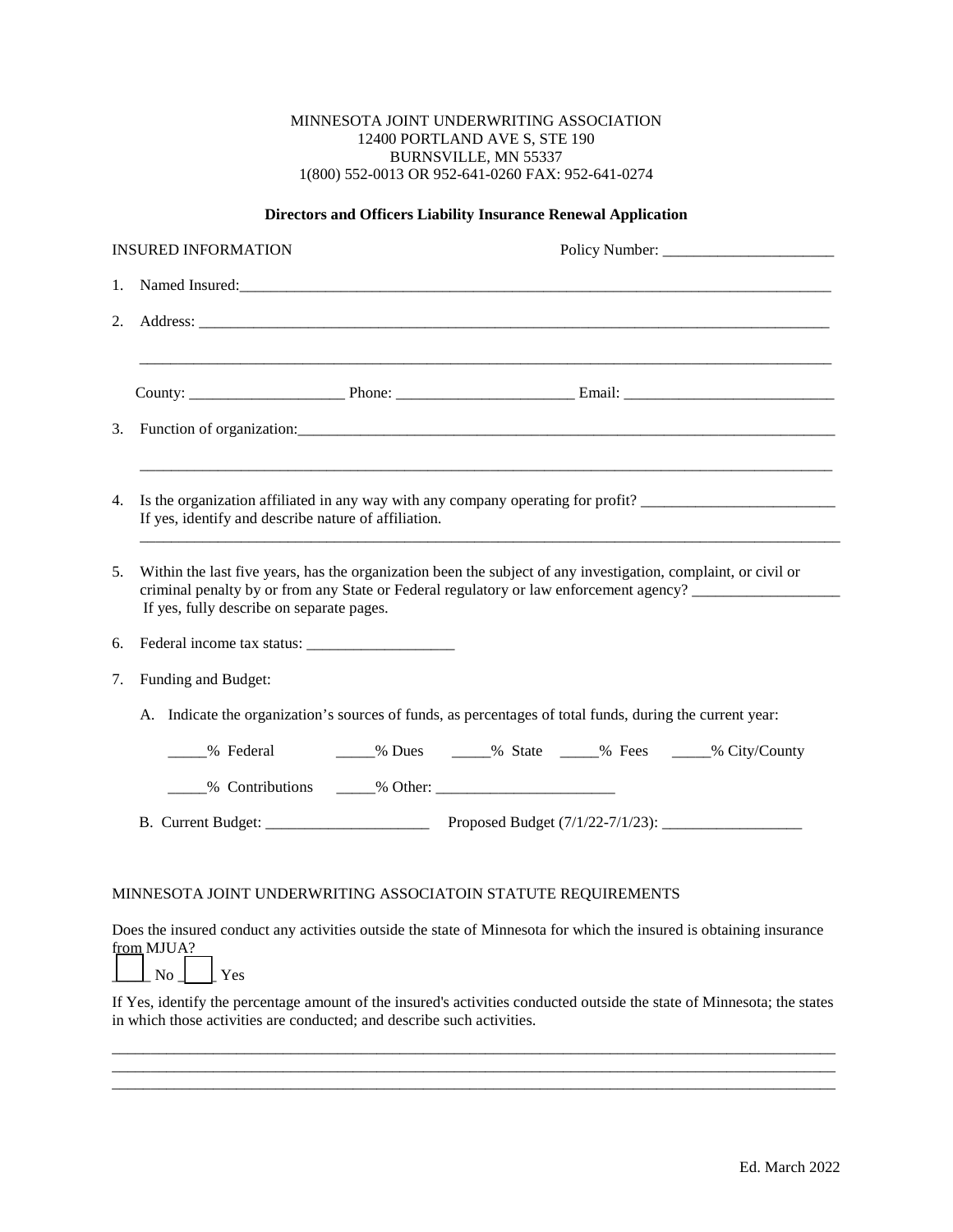## MINNESOTA JOINT UNDERWRITING ASSOCIATION 12400 PORTLAND AVE S, STE 190 BURNSVILLE, MN 55337 1(800) 552-0013 OR 952-641-0260 FAX: 952-641-0274

## **Directors and Officers Liability Insurance Renewal Application**

| <b>INSURED INFORMATION</b>                                    |                                                                                                                                          | Policy Number:                                                                                                                                                                                                                                 |  |  |  |  |
|---------------------------------------------------------------|------------------------------------------------------------------------------------------------------------------------------------------|------------------------------------------------------------------------------------------------------------------------------------------------------------------------------------------------------------------------------------------------|--|--|--|--|
| 1.                                                            |                                                                                                                                          |                                                                                                                                                                                                                                                |  |  |  |  |
| 2.                                                            |                                                                                                                                          | Address: Note that the contract of the contract of the contract of the contract of the contract of the contract of the contract of the contract of the contract of the contract of the contract of the contract of the contrac                 |  |  |  |  |
|                                                               |                                                                                                                                          |                                                                                                                                                                                                                                                |  |  |  |  |
|                                                               |                                                                                                                                          |                                                                                                                                                                                                                                                |  |  |  |  |
| 3.                                                            |                                                                                                                                          |                                                                                                                                                                                                                                                |  |  |  |  |
|                                                               |                                                                                                                                          |                                                                                                                                                                                                                                                |  |  |  |  |
| 4.                                                            | Is the organization affiliated in any way with any company operating for profit?<br>If yes, identify and describe nature of affiliation. |                                                                                                                                                                                                                                                |  |  |  |  |
| 5.                                                            | If yes, fully describe on separate pages.                                                                                                | Within the last five years, has the organization been the subject of any investigation, complaint, or civil or<br>criminal penalty by or from any State or Federal regulatory or law enforcement agency?                                       |  |  |  |  |
| 6.                                                            |                                                                                                                                          |                                                                                                                                                                                                                                                |  |  |  |  |
| 7.                                                            | Funding and Budget:                                                                                                                      |                                                                                                                                                                                                                                                |  |  |  |  |
|                                                               | A. Indicate the organization's sources of funds, as percentages of total funds, during the current year:                                 |                                                                                                                                                                                                                                                |  |  |  |  |
|                                                               |                                                                                                                                          | _____% Federal ________% Dues ______% State ______% Fees ______% City/County                                                                                                                                                                   |  |  |  |  |
|                                                               |                                                                                                                                          |                                                                                                                                                                                                                                                |  |  |  |  |
|                                                               |                                                                                                                                          | B. Current Budget: Proposed Budget $(7/1/22-7/1/23)$ :                                                                                                                                                                                         |  |  |  |  |
|                                                               |                                                                                                                                          |                                                                                                                                                                                                                                                |  |  |  |  |
| MINNESOTA JOINT UNDERWRITING ASSOCIATOIN STATUTE REQUIREMENTS |                                                                                                                                          |                                                                                                                                                                                                                                                |  |  |  |  |
|                                                               | from MJUA?<br>$\Box$ No $\Box$ Yes                                                                                                       | Does the insured conduct any activities outside the state of Minnesota for which the insured is obtaining insurance<br>If Yes, identify the percentage amount of the insured's activities conducted outside the state of Minnesota; the states |  |  |  |  |

\_\_\_\_\_\_\_\_\_\_\_\_\_\_\_\_\_\_\_\_\_\_\_\_\_\_\_\_\_\_\_\_\_\_\_\_\_\_\_\_\_\_\_\_\_\_\_\_\_\_\_\_\_\_\_\_\_\_\_\_\_\_\_\_\_\_\_\_\_\_\_\_\_\_\_\_\_\_\_\_\_\_\_\_\_\_\_\_\_\_\_\_\_

\_\_\_\_\_\_\_\_\_\_\_\_\_\_\_\_\_\_\_\_\_\_\_\_\_\_\_\_\_\_\_\_\_\_\_\_\_\_\_\_\_\_\_\_\_\_\_\_\_\_\_\_\_\_\_\_\_\_\_\_\_\_\_\_\_\_\_\_\_\_\_\_\_\_\_\_\_\_\_\_\_\_\_\_\_\_\_\_\_\_\_\_\_

in which those activities are conducted; and describe such activities.